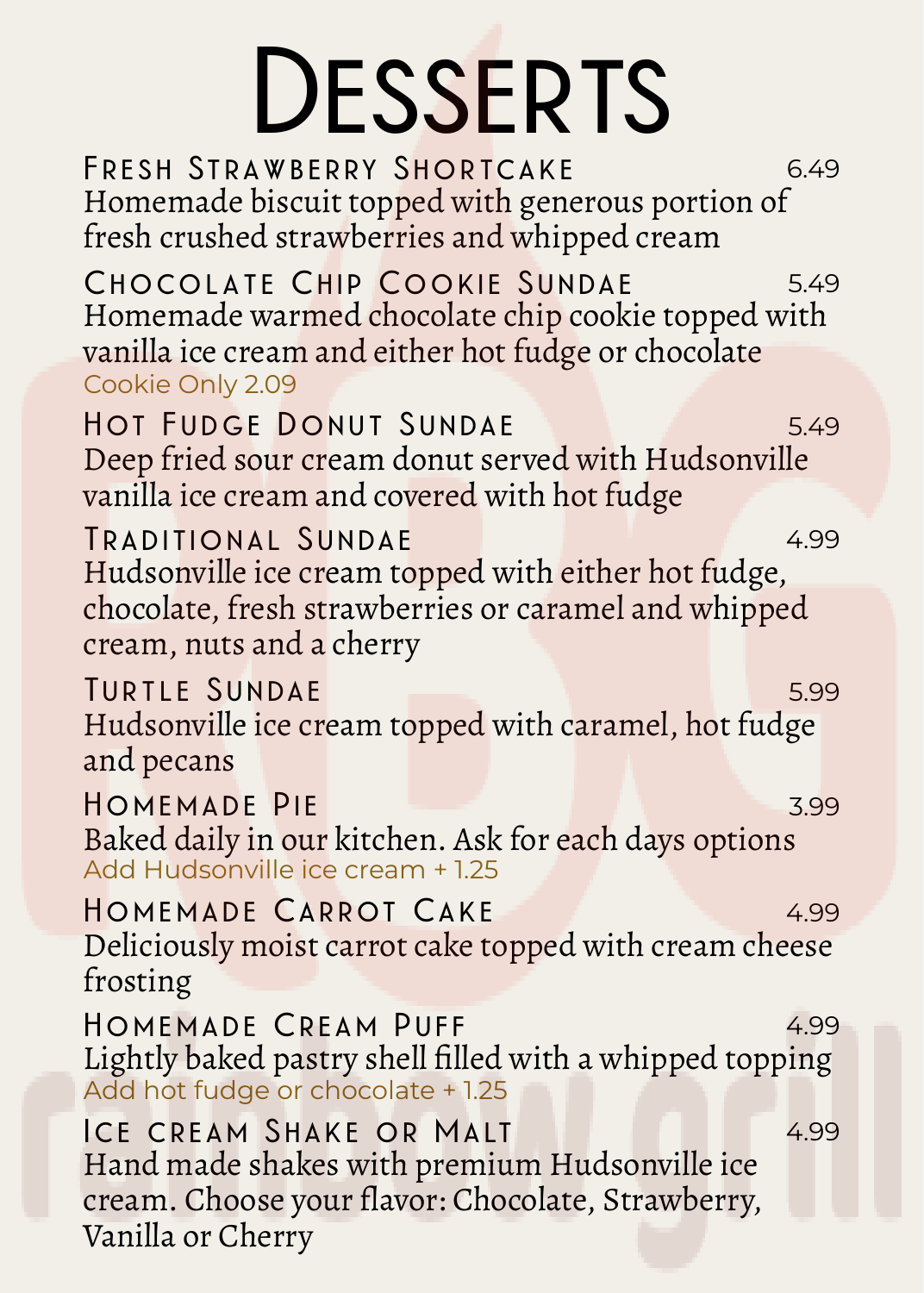## **Desserts**

**F r e s h St rawb e r ry S hor tcake** 6.49 Homemade biscuit topped with generous portion of fresh crushed strawberries and whipped cream **CHOCOLATE CHIP COOKIE SUNDAE** 5.49 Homemade warmed chocolate chip cookie topped with vanilla ice cream and either hot fudge or chocolate Cookie Only 2.09 **Hot Fudge Donut Sundae** 5.49 Deep fried sour cream donut served with Hudsonville vanilla ice cream and covered with hot fudge **Tradi tional Sundae** 4.99 Hudsonville ice cream topped with either hot fudge, chocolate, fresh strawberries or caramel and whipped cream, nuts and a cherry **TURTLE SUNDAE** 5.99 Hudsonville ice cream topped with caramel, hot fudge and pecans **HOMEMADE** PIE 3.99 Baked daily in our kitchen. Ask for each days options Add Hudsonville ice cream + 1.25 **Homemade Car rot Cake** 4.99 Deliciously moist carrot cake topped with cream cheese frosting **HOMEMADE CREAM PUFF** 4.99 Lightly baked pastry shell filled with a whipped topping Add hot fudge or chocolate + 1.25 **Ice cr eam S hake or Malt** 4.99 Hand made shakes with premium Hudsonville ice cream. Choose your flavor: Chocolate, Strawberry, Vanilla or Cherry